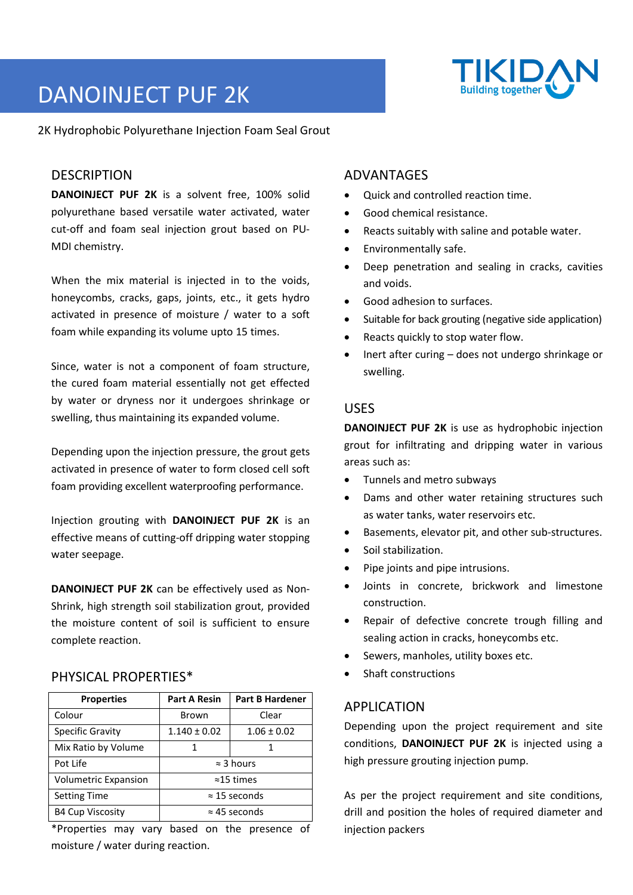# DANOINJECT PUF 2K

2K Hydrophobic Polyurethane Injection Foam Seal Grout

# **DESCRIPTION**

**DANOINJECT PUF 2K** is a solvent free, 100% solid polyurethane based versatile water activated, water cut-off and foam seal injection grout based on PU-MDI chemistry.

When the mix material is injected in to the voids, honeycombs, cracks, gaps, joints, etc., it gets hydro activated in presence of moisture / water to a soft foam while expanding its volume upto 15 times.

Since, water is not a component of foam structure, the cured foam material essentially not get effected by water or dryness nor it undergoes shrinkage or swelling, thus maintaining its expanded volume.

Depending upon the injection pressure, the grout gets activated in presence of water to form closed cell soft foam providing excellent waterproofing performance.

Injection grouting with **DANOINJECT PUF 2K** is an effective means of cutting-off dripping water stopping water seepage.

**DANOINJECT PUF 2K** can be effectively used as Non-Shrink, high strength soil stabilization grout, provided the moisture content of soil is sufficient to ensure complete reaction.

# PHYSICAL PROPERTIES\*

| <b>Properties</b>       | <b>Part A Resin</b>  | <b>Part B Hardener</b> |
|-------------------------|----------------------|------------------------|
| Colour                  | <b>Brown</b>         | Clear                  |
| <b>Specific Gravity</b> | $1.140 \pm 0.02$     | $1.06 \pm 0.02$        |
| Mix Ratio by Volume     |                      |                        |
| Pot Life                | $\approx$ 3 hours    |                        |
| Volumetric Expansion    | $\approx$ 15 times   |                        |
| <b>Setting Time</b>     | $\approx$ 15 seconds |                        |
| <b>B4 Cup Viscosity</b> | $\approx$ 45 seconds |                        |
|                         |                      |                        |

\*Properties may vary based on the presence of moisture / water during reaction.

# ADVANTAGES

- Quick and controlled reaction time.
- Good chemical resistance.
- Reacts suitably with saline and potable water.
- Environmentally safe.
- Deep penetration and sealing in cracks, cavities and voids.
- Good adhesion to surfaces.
- Suitable for back grouting (negative side application)
- Reacts quickly to stop water flow.
- Inert after curing does not undergo shrinkage or swelling.

#### USES

**DANOINJECT PUF 2K** is use as hydrophobic injection grout for infiltrating and dripping water in various areas such as:

- Tunnels and metro subways
- Dams and other water retaining structures such as water tanks, water reservoirs etc.
- Basements, elevator pit, and other sub-structures.
- Soil stabilization.
- Pipe joints and pipe intrusions.
- Joints in concrete, brickwork and limestone construction.
- Repair of defective concrete trough filling and sealing action in cracks, honeycombs etc.
- Sewers, manholes, utility boxes etc.
- Shaft constructions

# APPLICATION

Depending upon the project requirement and site conditions, **DANOINJECT PUF 2K** is injected using a high pressure grouting injection pump.

As per the project requirement and site conditions, drill and position the holes of required diameter and injection packers